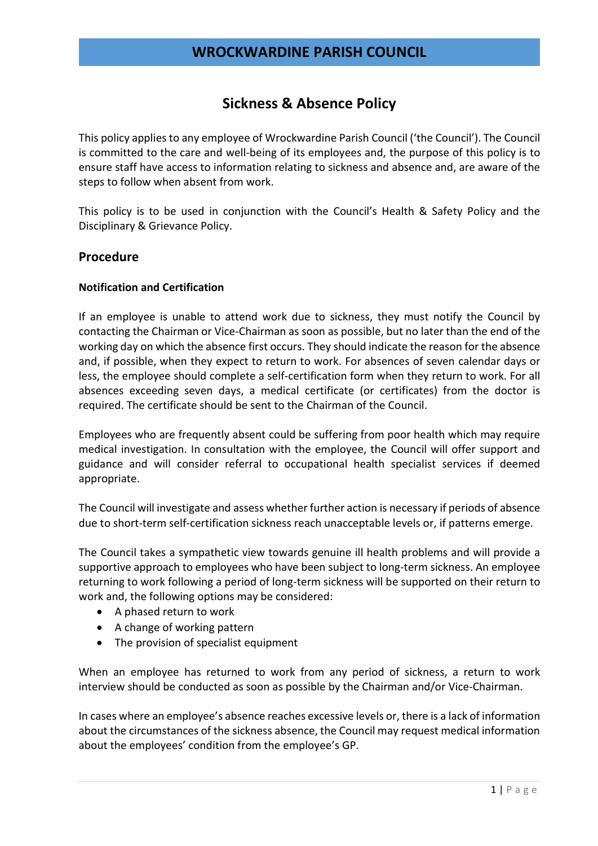# Sickness & Absence Policy

This policy applies to any employee of Wrockwardine Parish Council ('the Council'). The Council is committed to the care and well-being of its employees and, the purpose of this policy is to ensure staff have access to information relating to sickness and absence and, are aware of the steps to follow when absent from work.

This policy is to be used in conjunction with the Council's Health & Safety Policy and the Disciplinary & Grievance Policy.

### Procedure

#### Notification and Certification

If an employee is unable to attend work due to sickness, they must notify the Council by contacting the Chairman or Vice-Chairman as soon as possible, but no later than the end of the working day on which the absence first occurs. They should indicate the reason for the absence and, if possible, when they expect to return to work. For absences of seven calendar days or less, the employee should complete a self-certification form when they return to work. For all absences exceeding seven days, a medical certificate (or certificates) from the doctor is required. The certificate should be sent to the Chairman of the Council.

Employees who are frequently absent could be suffering from poor health which may require medical investigation. In consultation with the employee, the Council will offer support and guidance and will consider referral to occupational health specialist services if deemed appropriate.

The Council will investigate and assess whether further action is necessary if periods of absence due to short-term self-certification sickness reach unacceptable levels or, if patterns emerge.

The Council takes a sympathetic view towards genuine ill health problems and will provide a supportive approach to employees who have been subject to long-term sickness. An employee returning to work following a period of long-term sickness will be supported on their return to work and, the following options may be considered:

- A phased return to work
- A change of working pattern
- The provision of specialist equipment

When an employee has returned to work from any period of sickness, a return to work interview should be conducted as soon as possible by the Chairman and/or Vice-Chairman.

In cases where an employee's absence reaches excessive levels or, there is a lack of information about the circumstances of the sickness absence, the Council may request medical information about the employees' condition from the employee's GP.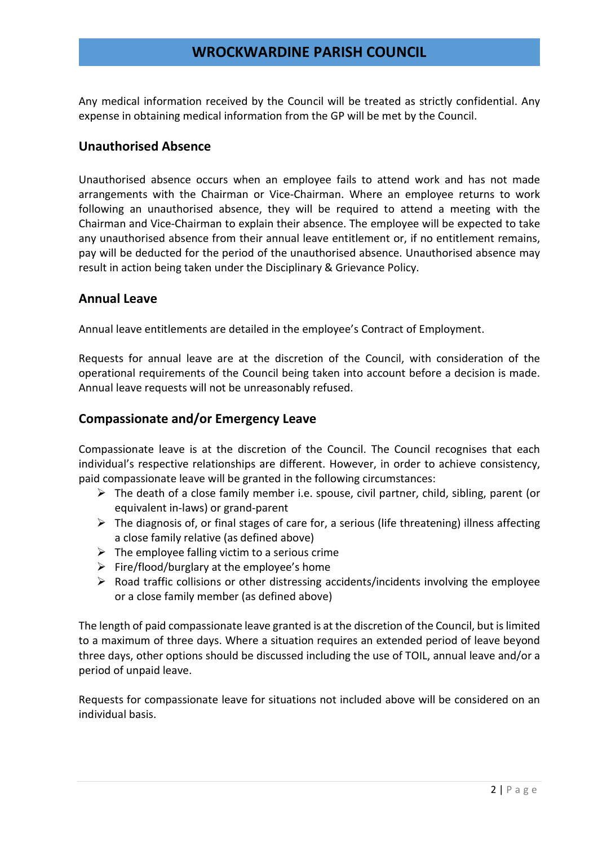## WROCKWARDINE PARISH COUNCIL

Any medical information received by the Council will be treated as strictly confidential. Any expense in obtaining medical information from the GP will be met by the Council.

### Unauthorised Absence

Unauthorised absence occurs when an employee fails to attend work and has not made arrangements with the Chairman or Vice-Chairman. Where an employee returns to work following an unauthorised absence, they will be required to attend a meeting with the Chairman and Vice-Chairman to explain their absence. The employee will be expected to take any unauthorised absence from their annual leave entitlement or, if no entitlement remains, pay will be deducted for the period of the unauthorised absence. Unauthorised absence may result in action being taken under the Disciplinary & Grievance Policy.

## Annual Leave

Annual leave entitlements are detailed in the employee's Contract of Employment.

Requests for annual leave are at the discretion of the Council, with consideration of the operational requirements of the Council being taken into account before a decision is made. Annual leave requests will not be unreasonably refused.

### Compassionate and/or Emergency Leave

Compassionate leave is at the discretion of the Council. The Council recognises that each individual's respective relationships are different. However, in order to achieve consistency, paid compassionate leave will be granted in the following circumstances:

- $\triangleright$  The death of a close family member i.e. spouse, civil partner, child, sibling, parent (or equivalent in-laws) or grand-parent
- $\triangleright$  The diagnosis of, or final stages of care for, a serious (life threatening) illness affecting a close family relative (as defined above)
- $\triangleright$  The employee falling victim to a serious crime
- $\triangleright$  Fire/flood/burglary at the employee's home
- $\triangleright$  Road traffic collisions or other distressing accidents/incidents involving the employee or a close family member (as defined above)

The length of paid compassionate leave granted is at the discretion of the Council, but is limited to a maximum of three days. Where a situation requires an extended period of leave beyond three days, other options should be discussed including the use of TOIL, annual leave and/or a period of unpaid leave.

Requests for compassionate leave for situations not included above will be considered on an individual basis.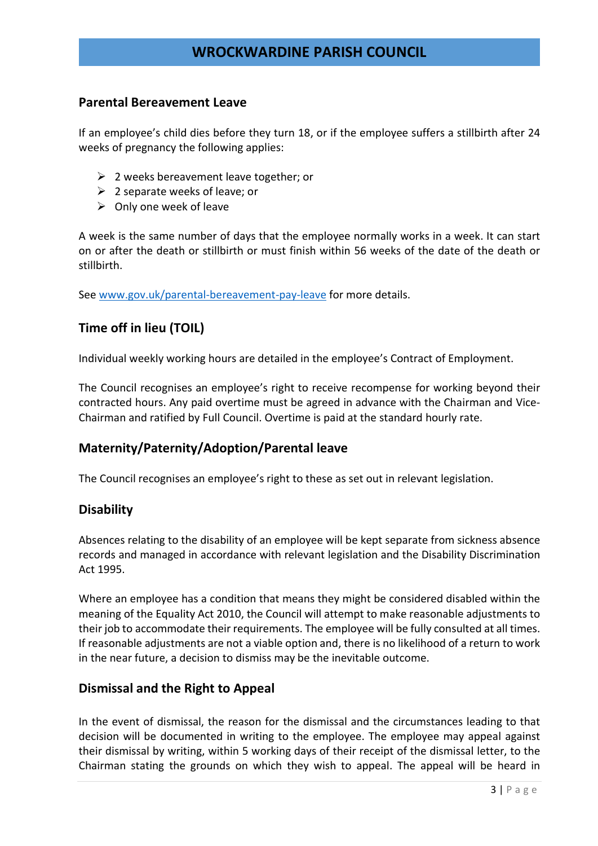# WROCKWARDINE PARISH COUNCIL

### Parental Bereavement Leave

If an employee's child dies before they turn 18, or if the employee suffers a stillbirth after 24 weeks of pregnancy the following applies:

- $\geq 2$  weeks bereavement leave together; or
- $\geq$  2 separate weeks of leave; or
- $\triangleright$  Only one week of leave

A week is the same number of days that the employee normally works in a week. It can start on or after the death or stillbirth or must finish within 56 weeks of the date of the death or stillbirth.

See www.gov.uk/parental-bereavement-pay-leave for more details.

## Time off in lieu (TOIL)

Individual weekly working hours are detailed in the employee's Contract of Employment.

The Council recognises an employee's right to receive recompense for working beyond their contracted hours. Any paid overtime must be agreed in advance with the Chairman and Vice-Chairman and ratified by Full Council. Overtime is paid at the standard hourly rate.

## Maternity/Paternity/Adoption/Parental leave

The Council recognises an employee's right to these as set out in relevant legislation.

### **Disability**

Absences relating to the disability of an employee will be kept separate from sickness absence records and managed in accordance with relevant legislation and the Disability Discrimination Act 1995.

Where an employee has a condition that means they might be considered disabled within the meaning of the Equality Act 2010, the Council will attempt to make reasonable adjustments to their job to accommodate their requirements. The employee will be fully consulted at all times. If reasonable adjustments are not a viable option and, there is no likelihood of a return to work in the near future, a decision to dismiss may be the inevitable outcome.

### Dismissal and the Right to Appeal

In the event of dismissal, the reason for the dismissal and the circumstances leading to that decision will be documented in writing to the employee. The employee may appeal against their dismissal by writing, within 5 working days of their receipt of the dismissal letter, to the Chairman stating the grounds on which they wish to appeal. The appeal will be heard in